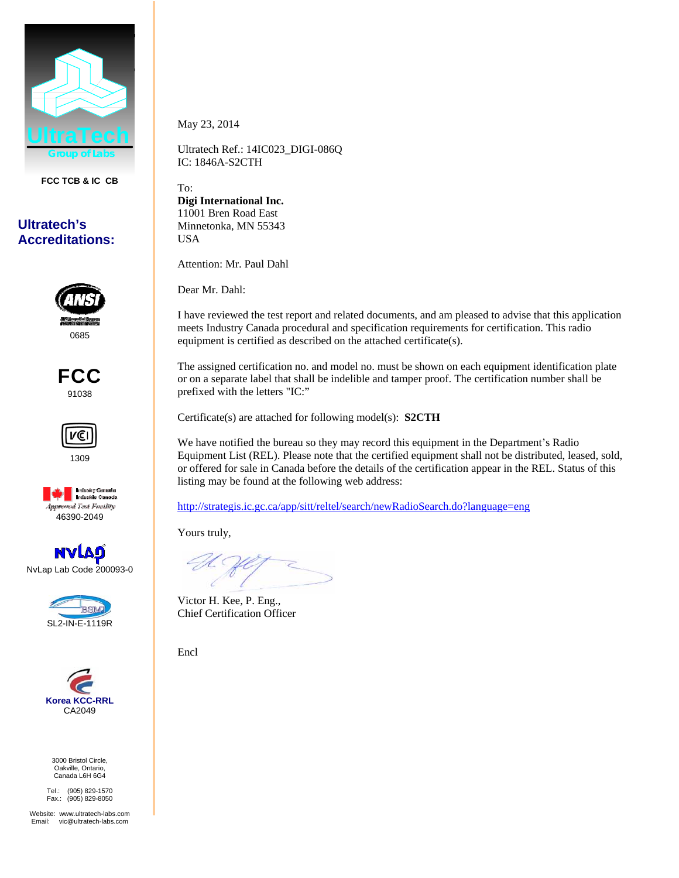

**FCC TCB & IC CB** 

## **Ultratech's Accreditations:**











NvLap Lab Code 200093-0





3000 Bristol Circle, Oakville, Ontario, Canada L6H 6G4

Tel.: (905) 829-1570 Fax.: (905) 829-8050

Website: www.ultratech-labs.com Email: vic@ultratech-labs.com

May 23, 2014

Ultratech Ref.: 14IC023\_DIGI-086Q IC: 1846A-S2CTH

To: **Digi International Inc.**  11001 Bren Road East Minnetonka, MN 55343 USA

Attention: Mr. Paul Dahl

Dear Mr. Dahl:

I have reviewed the test report and related documents, and am pleased to advise that this application meets Industry Canada procedural and specification requirements for certification. This radio equipment is certified as described on the attached certificate(s).

The assigned certification no. and model no. must be shown on each equipment identification plate or on a separate label that shall be indelible and tamper proof. The certification number shall be prefixed with the letters "IC:"

Certificate(s) are attached for following model(s): **S2CTH**

We have notified the bureau so they may record this equipment in the Department's Radio Equipment List (REL). Please note that the certified equipment shall not be distributed, leased, sold, or offered for sale in Canada before the details of the certification appear in the REL. Status of this listing may be found at the following web address:

http://strategis.ic.gc.ca/app/sitt/reltel/search/newRadioSearch.do?language=eng

Yours truly,

Victor H. Kee, P. Eng., Chief Certification Officer

Encl